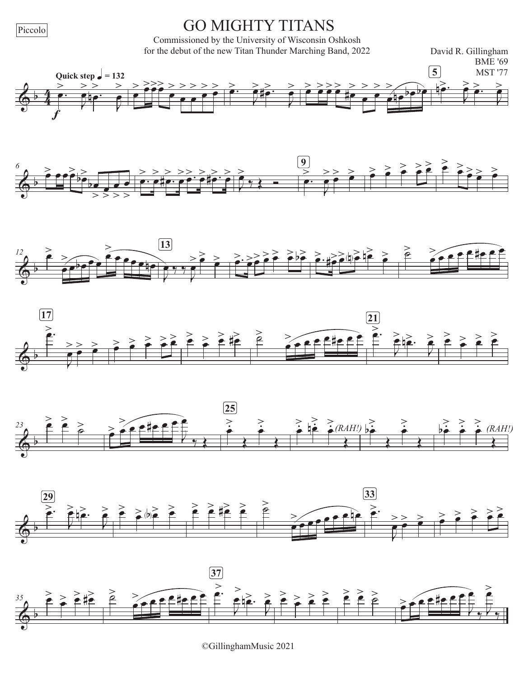Piccolo

## **GO MIGHTY TITANS**

Commissioned by the University of Wisconsin Oshkosh for the debut of the new Titan Thunder Marching Band, 2022

David R. Gillingham















<sup>©</sup>GillinghamMusic 2021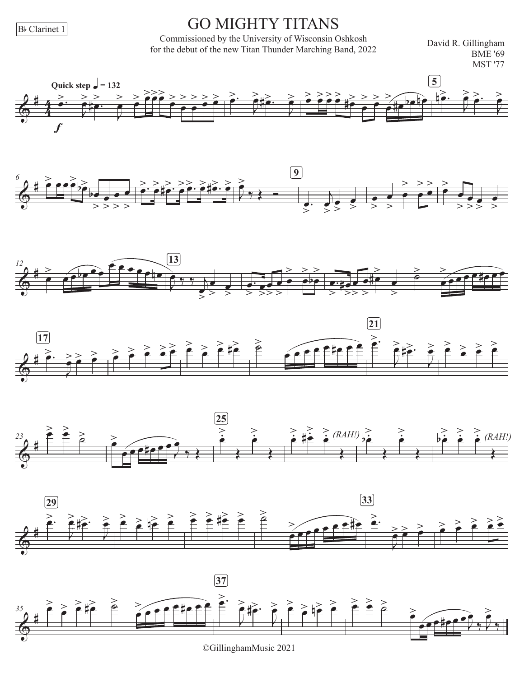B<sub>b</sub> Clarinet 1

## **GO MIGHTY TITANS**

Commissioned by the University of Wisconsin Oshkosh for the debut of the new Titan Thunder Marching Band, 2022

David R. Gillingham **BME** '69 **MST '77** 















©GillinghamMusic 2021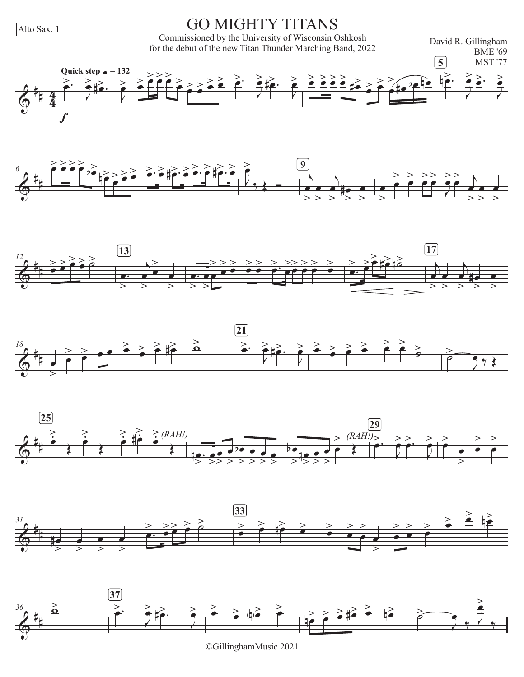Alto Sax. 1

## **GO MIGHTY TITANS**

Commissioned by the University of Wisconsin Oshkosh<br>for the debut of the new Titan Thunder Marching Band, 2022

David R. Gillingham **BME '69** 















©GillinghamMusic 2021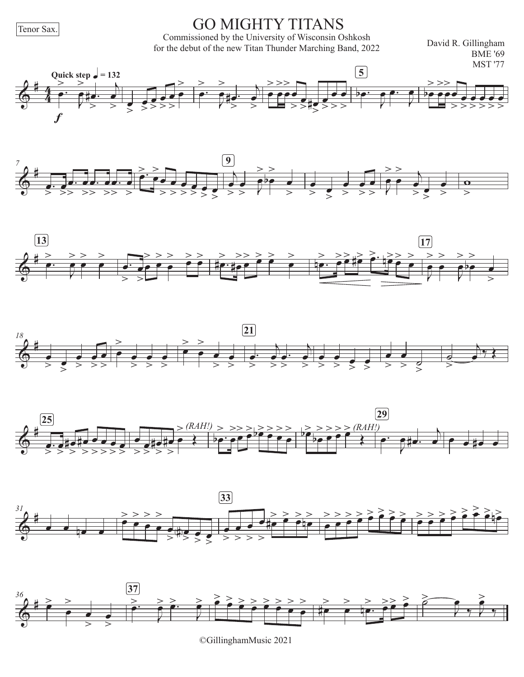Tenor Sax.

**GO MIGHTY TITANS** 

Commissioned by the University of Wisconsin Oshkosh for the debut of the new Titan Thunder Marching Band, 2022

David R. Gillingham **BME '69 MST '77** 















©GillinghamMusic 2021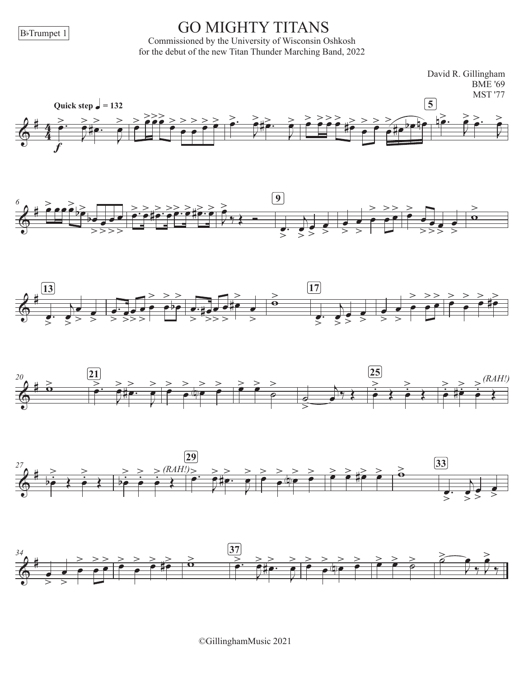BbTrumpet 1

#### GO MIGHTY TITANS

Commissioned by the University of Wisconsin Oshkosh for the debut of the new Titan Thunder Marching Band, 2022

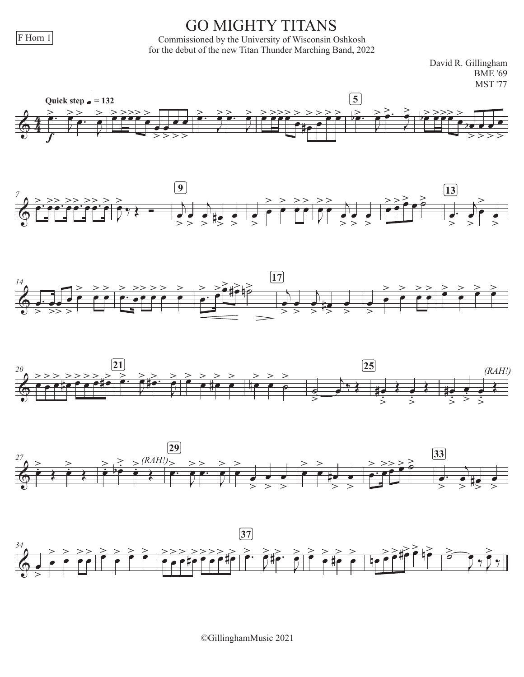$F$  Horn 1

## **GO MIGHTY TITANS**

Commissioned by the University of Wisconsin Oshkosh for the debut of the new Titan Thunder Marching Band, 2022

> David R. Gillingham **BME '69 MST '77**











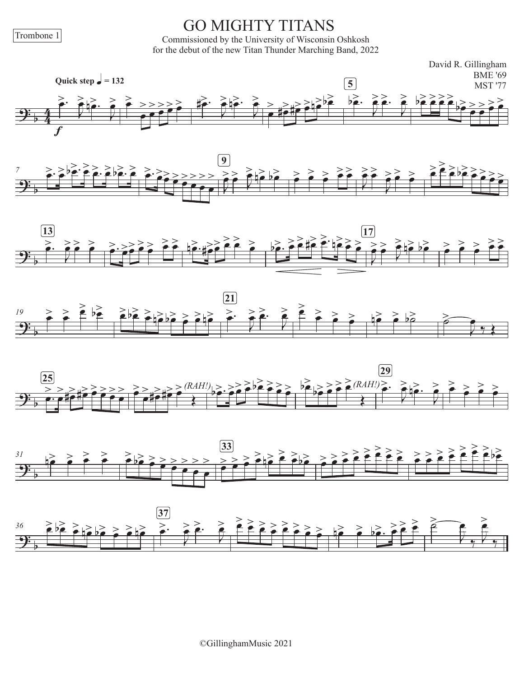Trombone 1

# **GO MIGHTY TITANS**

Commissioned by the University of Wisconsin Oshkosh for the debut of the new Titan Thunder Marching Band, 2022













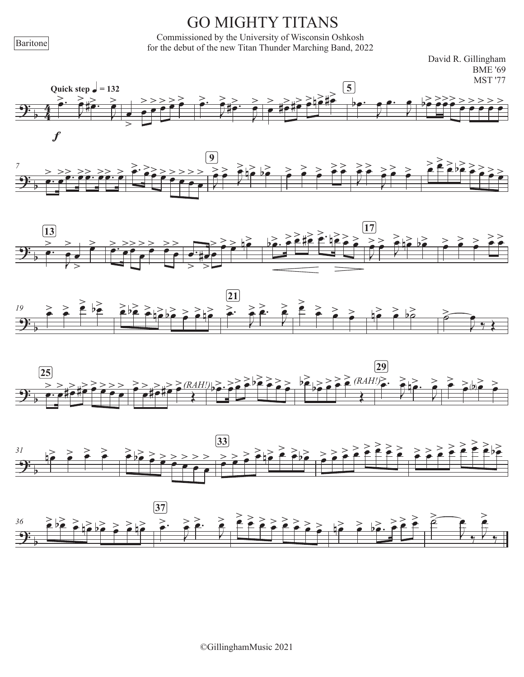# **GO MIGHTY TITANS**

Commissioned by the University of Wisconsin Oshkosh<br>for the debut of the new Titan Thunder Marching Band, 2022













Baritone